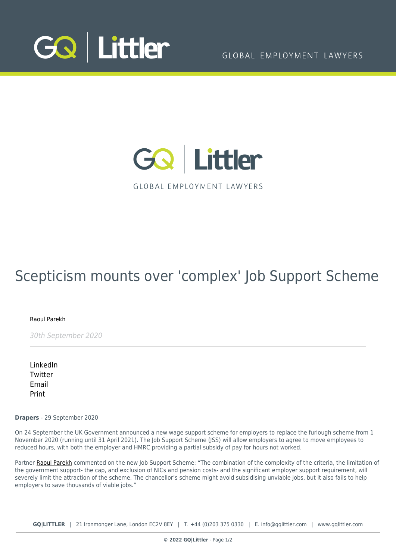



**GLOBAL EMPLOYMENT LAWYERS** 

## Scepticism mounts over 'complex' Job Support Scheme

[Raoul Parekh](https://www.gqlittler.com/about-us/the-team/raoul-parekh)

30th September 2020

[LinkedIn](https://www.linkedin.com/shareArticle?mini=true&url=https%3A%2F%2Fwww.gqlittler.com%2Fresources%2Fnews-and-views%2Fscepticism-mounts-over-complex-job-support-scheme.htm%3Funlock%3Dtrue&title=Scepticism+mounts+over+%27complex%27+Job+Support+Scheme&summary=&source=GQ+%7C+Littler) [Twitter](https://twitter.com/share?text=Scepticism+mounts+over+%27complex%27+Job+Support+Scheme&url=https%3A%2F%2Fwww.gqlittler.com%2Fresources%2Fnews-and-views%2Fscepticism-mounts-over-complex-job-support-scheme.htm&hashtags=) [Email](mailto:?subject=Scepticism mounts over ) [Print](https://www.bg-pdf.co.uk/_GQ/page.php?M=6148523063484d364c793933643363755a33467361585230624756794c6d4e76625339795a584e7664584a6a5a584d76626d563363793168626d5174646d6c6c64334d7663324e6c6348527059326c7a625331746233567564484d7462335a6c6369316a62323177624756344c5770765969317a6458427762334a304c584e6a614756745a53356f6447306a51434e545932567764476c6a61584e74494731766457353063794276646d56794943646a62323177624756344a79424b623249675533567763473979644342545932686c6257556a51434e7a5932567764476c6a61584e744c5731766457353063793176646d56794c574e76625842735a586774616d39694c584e3163484276636e517463324e6f5a57316c)

**Drapers** - 29 September 2020

On 24 September the UK Government announced a new wage support scheme for employers to replace the furlough scheme from 1 November 2020 (running until 31 April 2021). The Job Support Scheme (JSS) will allow employers to agree to move employees to reduced hours, with both the employer and HMRC providing a partial subsidy of pay for hours not worked.

Partner [Raoul Parekh](https://www.gqlittler.com/about-us/the-team/raoul-parekh) commented on the new Job Support Scheme: "The combination of the complexity of the criteria, the limitation of the government support- the cap, and exclusion of NICs and pension costs- and the significant employer support requirement, will severely limit the attraction of the scheme. The chancellor's scheme might avoid subsidising unviable jobs, but it also fails to help employers to save thousands of viable jobs."

**GQ|LITTLER** | 21 Ironmonger Lane, London EC2V 8EY | T. [+44 \(0\)203 375 0330](https://www.bg-pdf.co.uk/_GQ/tel:+442033750330) | E. [info@gqlittler.com](mailto:info@gqlittler.com) | [www.gqlittler.com](https://www.gqlittler.com)